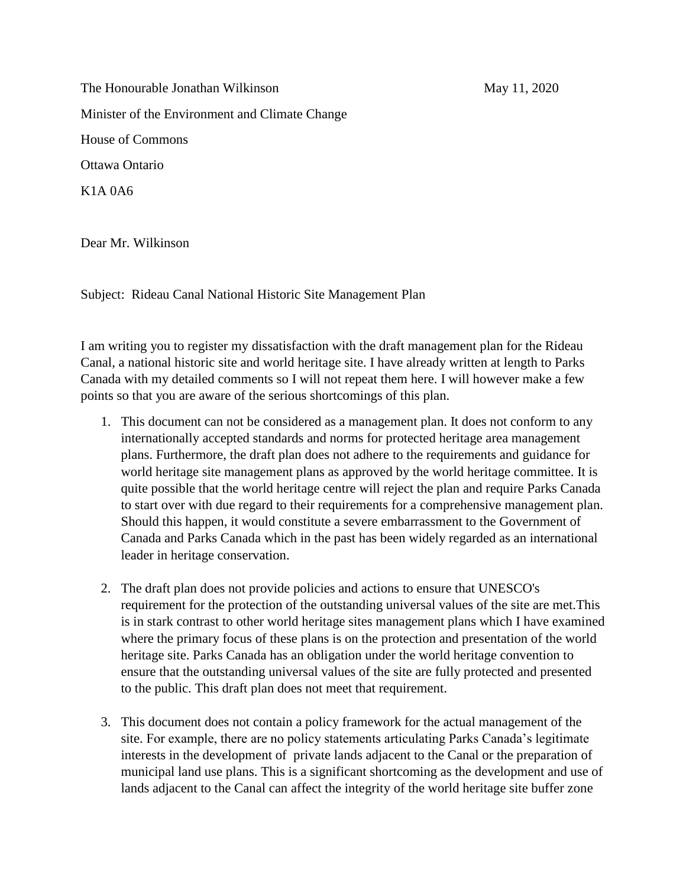The Honourable Jonathan Wilkinson May 11, 2020 Minister of the Environment and Climate Change House of Commons Ottawa Ontario K1A 0A6

Dear Mr. Wilkinson

Subject: Rideau Canal National Historic Site Management Plan

I am writing you to register my dissatisfaction with the draft management plan for the Rideau Canal, a national historic site and world heritage site. I have already written at length to Parks Canada with my detailed comments so I will not repeat them here. I will however make a few points so that you are aware of the serious shortcomings of this plan.

- 1. This document can not be considered as a management plan. It does not conform to any internationally accepted standards and norms for protected heritage area management plans. Furthermore, the draft plan does not adhere to the requirements and guidance for world heritage site management plans as approved by the world heritage committee. It is quite possible that the world heritage centre will reject the plan and require Parks Canada to start over with due regard to their requirements for a comprehensive management plan. Should this happen, it would constitute a severe embarrassment to the Government of Canada and Parks Canada which in the past has been widely regarded as an international leader in heritage conservation.
- 2. The draft plan does not provide policies and actions to ensure that UNESCO's requirement for the protection of the outstanding universal values of the site are met.This is in stark contrast to other world heritage sites management plans which I have examined where the primary focus of these plans is on the protection and presentation of the world heritage site. Parks Canada has an obligation under the world heritage convention to ensure that the outstanding universal values of the site are fully protected and presented to the public. This draft plan does not meet that requirement.
- 3. This document does not contain a policy framework for the actual management of the site. For example, there are no policy statements articulating Parks Canada's legitimate interests in the development of private lands adjacent to the Canal or the preparation of municipal land use plans. This is a significant shortcoming as the development and use of lands adjacent to the Canal can affect the integrity of the world heritage site buffer zone